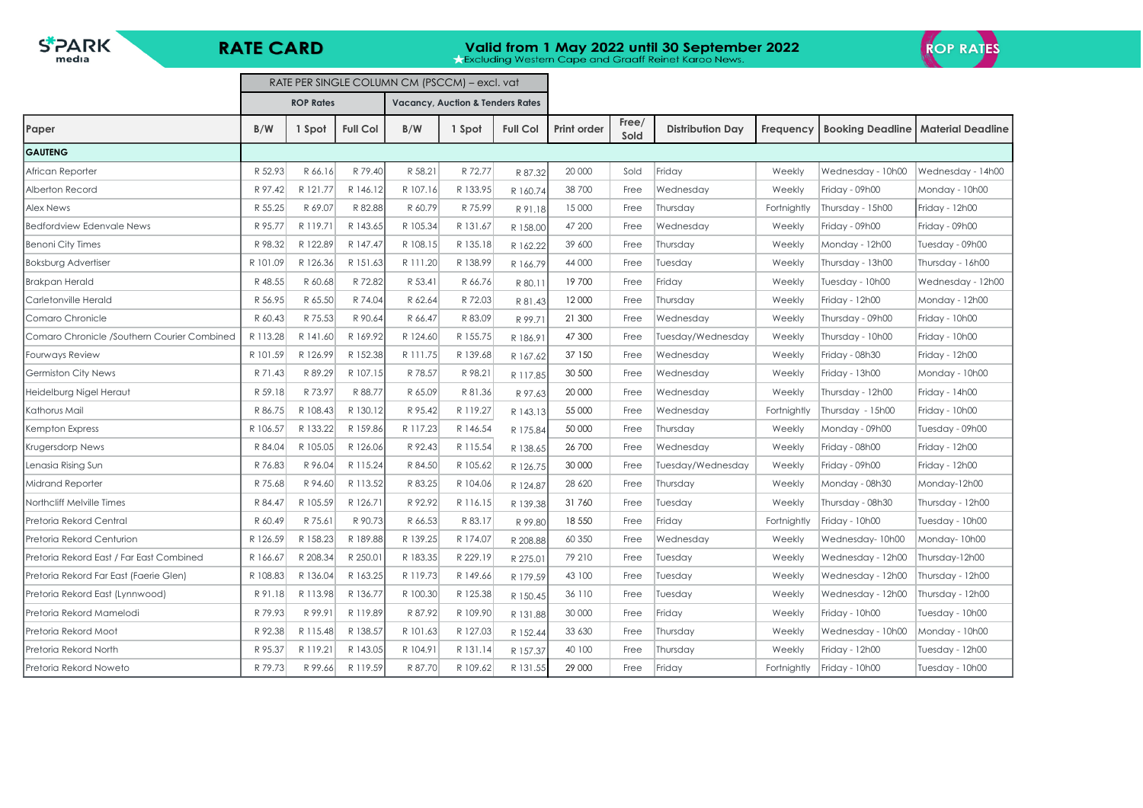$S^*$ **PARK** 

**RATE CARD** 

 $\blacksquare$ 

# **Valid from 1 May 2022 until 30 September 2022**<br>**Rexcluding Western Cape and Graaff Reinet Karoo News.**

L,



|                                             | RATE PER SINGLE COLUMN CM (PSCCM) – excl. vat |                  |                 |          |                                             |                 |                    |               |                         |             |                         |                          |
|---------------------------------------------|-----------------------------------------------|------------------|-----------------|----------|---------------------------------------------|-----------------|--------------------|---------------|-------------------------|-------------|-------------------------|--------------------------|
|                                             |                                               | <b>ROP Rates</b> |                 |          | <b>Vacancy, Auction &amp; Tenders Rates</b> |                 |                    |               |                         |             |                         |                          |
| Paper                                       | B/W                                           | 1 Spot           | <b>Full Col</b> | B/W      | 1 Spot                                      | <b>Full Col</b> | <b>Print order</b> | Free/<br>Sold | <b>Distribution Day</b> | Frequency   | <b>Booking Deadline</b> | <b>Material Deadline</b> |
| <b>GAUTENG</b>                              |                                               |                  |                 |          |                                             |                 |                    |               |                         |             |                         |                          |
| African Reporter                            | R 52.93                                       | R 66.16          | R 79.40         | R 58.21  | R 72.77                                     | R 87.32         | 20 000             | Sold          | Friday                  | Weekly      | Wednesday - 10h00       | Wednesday - 14h00        |
| Alberton Record                             | R 97.42                                       | R 121.77         | R 146.12        | R 107.16 | R 133.95                                    | R 160.74        | 38 700             | Free          | Wednesday               | Weekly      | Friday - 09h00          | Monday - 10h00           |
| <b>Alex News</b>                            | R 55.25                                       | R 69.07          | R 82.88         | R 60.79  | R 75.99                                     | R 91.18         | 15 000             | Free          | Thursday                | Fortnightly | Thursday - 15h00        | Friday - 12h00           |
| <b>Bedfordview Edenvale News</b>            | R 95.77                                       | R 119.71         | R 143.65        | R 105.34 | R 131.67                                    | R 158.00        | 47 200             | Free          | Wednesday               | Weekly      | Friday - 09h00          | Friday - 09h00           |
| Benoni City Times                           | R 98.32                                       | R 122.89         | R 147.47        | R 108.15 | R 135.18                                    | R 162.22        | 39 600             | Free          | Thursday                | Weekly      | Monday - 12h00          | Tuesday - 09h00          |
| <b>Boksburg Advertiser</b>                  | R 101.09                                      | R 126.36         | R 151.63        | R 111.20 | R 138.99                                    | R 166.79        | 44 000             | Free          | Tuesday                 | Weekly      | Thursday - 13h00        | Thursday - 16h00         |
| <b>Brakpan Herald</b>                       | R 48.55                                       | R 60.68          | R 72.82         | R 53.41  | R 66.76                                     | R 80.1          | 19700              | Free          | Friday                  | Weekly      | Tuesday - 10h00         | Wednesday - 12h00        |
| Carletonville Herald                        | R 56.95                                       | R 65.50          | R 74.04         | R 62.64  | R 72.03                                     | R 81.43         | 12 000             | Free          | Thursday                | Weekly      | Friday - 12h00          | Monday - 12h00           |
| Comaro Chronicle                            | R 60.43                                       | R 75.53          | R 90.64         | R 66.47  | R 83.09                                     | R 99.71         | 21 300             | Free          | Wednesday               | Weekly      | Thursday - 09h00        | Friday - 10h00           |
| Comaro Chronicle /Southern Courier Combined | R 113.28                                      | R 141.60         | R 169.92        | R 124.60 | R 155.75                                    | R 186.91        | 47 300             | Free          | Tuesday/Wednesday       | Weekly      | Thursday - 10h00        | Friday - 10h00           |
| Fourways Review                             | R 101.59                                      | R 126.99         | R 152.38        | R 111.75 | R 139.68                                    | R 167.62        | 37 150             | Free          | Wednesday               | Weekly      | Friday - 08h30          | Friday - 12h00           |
| <b>Germiston City News</b>                  | R 71.43                                       | R 89.29          | R 107.15        | R 78.57  | R 98.21                                     | R 117.85        | 30 500             | Free          | Wednesday               | Weekly      | Friday - 13h00          | Monday - 10h00           |
| Heidelburg Nigel Heraut                     | R 59.18                                       | R 73.97          | R 88.77         | R 65.09  | R 81.36                                     | R 97.63         | 20 000             | Free          | Wednesday               | Weekly      | Thursday - 12h00        | Friday - 14h00           |
| Kathorus Mail                               | R 86.75                                       | R 108.43         | R 130.12        | R 95.42  | R 119.27                                    | R 143.13        | 55 000             | Free          | Wednesday               | Fortnightly | Thursday - 15h00        | Friday - 10h00           |
| Kempton Express                             | R 106.57                                      | R 133.22         | R 159.86        | R 117.23 | R 146.54                                    | R 175.84        | 50 000             | Free          | Thursday                | Weekly      | Monday - 09h00          | Tuesday - 09h00          |
| Krugersdorp News                            | R 84.04                                       | R 105.05         | R 126.06        | R 92.43  | R 115.54                                    | R 138.65        | 26 700             | Free          | Wednesday               | Weekly      | Friday - 08h00          | Friday - 12h00           |
| Lenasia Rising Sun                          | R 76.83                                       | R 96.04          | R 115.24        | R 84.50  | R 105.62                                    | R 126.75        | 30 000             | Free          | Tuesday/Wednesday       | Weekly      | Friday - 09h00          | Friday - 12h00           |
| <b>Midrand Reporter</b>                     | R 75.68                                       | R 94.60          | R 113.52        | R 83.25  | R 104.06                                    | R 124.87        | 28 6 20            | Free          | Thursday                | Weekly      | Monday - 08h30          | Monday-12h00             |
| Northcliff Melville Times                   | R 84.47                                       | R 105.59         | R 126.71        | R 92.92  | R 116.15                                    | R 139.38        | 31760              | Free          | Tuesday                 | Weekly      | Thursday - 08h30        | Thursday - 12h00         |
| Pretoria Rekord Central                     | R 60.49                                       | R 75.61          | R 90.73         | R 66.53  | R 83.17                                     | R 99.80         | 18 550             | Free          | Friday                  | Fortnightly | Friday - 10h00          | Tuesday - 10h00          |
| Pretoria Rekord Centurion                   | R 126.59                                      | R 158.23         | R 189.88        | R 139.25 | R 174.07                                    | R 208.88        | 60 350             | Free          | Wednesday               | Weekly      | Wednesday-10h00         | Monday-10h00             |
| Pretoria Rekord East / Far East Combined    | R 166.67                                      | R 208.34         | R 250.01        | R 183.35 | R 229.19                                    | R 275.01        | 79 210             | Free          | Tuesday                 | Weekly      | Wednesday - 12h00       | Thursday-12h00           |
| Pretoria Rekord Far East (Faerie Glen)      | R 108.83                                      | R 136.04         | R 163.25        | R 119.73 | R 149.66                                    | R 179.59        | 43 100             | Free          | Tuesday                 | Weekly      | Wednesday - 12h00       | Thursday - 12h00         |
| Pretoria Rekord East (Lynnwood)             | R 91.18                                       | R 113.98         | R 136.77        | R 100.30 | R 125.38                                    | R 150.45        | 36 110             | Free          | Tuesday                 | Weekly      | Wednesday - 12h00       | Thursday - 12h00         |
| Pretoria Rekord Mamelodi                    | R 79.93                                       | R 99.91          | R 119.89        | R 87.92  | R 109.90                                    | R 131.88        | 30 000             | Free          | Fridav                  | Weekly      | Friday - 10h00          | Tuesday - 10h00          |
| Pretoria Rekord Moot                        | R 92.38                                       | R 115.48         | R 138.57        | R 101.63 | R 127.03                                    | R 152.44        | 33 630             | Free          | Thursday                | Weekly      | Wednesday - 10h00       | Monday - 10h00           |
| Pretoria Rekord North                       | R 95.37                                       | R 119.21         | R 143.05        | R 104.91 | R 131.14                                    | R 157.37        | 40 100             | Free          | Thursday                | Weekly      | Friday - 12h00          | Tuesday - 12h00          |
| Pretoria Rekord Noweto                      | R 79.73                                       | R 99.66          | R 119.59        | R 87.70  | R 109.62                                    | R 131.55        | 29 000             | Free          | Friday                  | Fortnightly | Friday - 10h00          | Tuesday - 10h00          |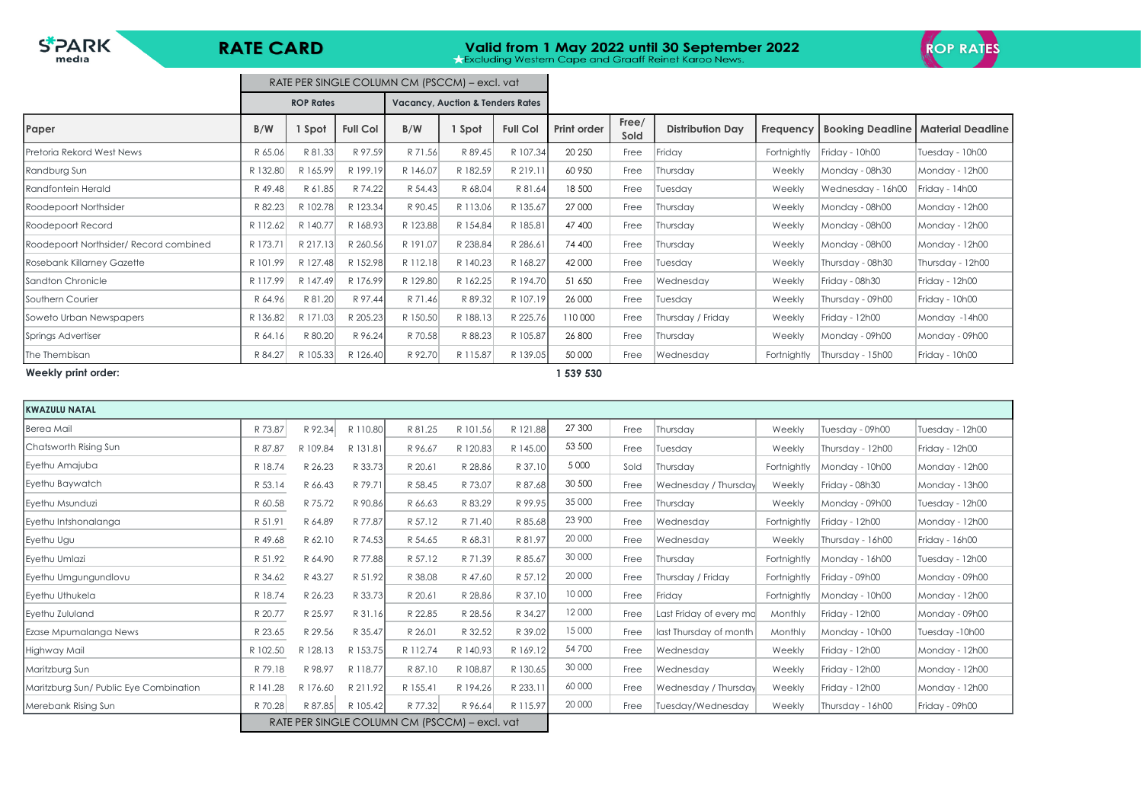$S^*$ **PARK** 

## **RATE CARD**

# **Valid from 1 May 2022 until 30 September 2022**<br>**A Excluding Western Cape and Graaff Reinet Karoo News.**



|                                        |          |                  |                 | RATE PER SINGLE COLUMN CM (PSCCM) - excl. vat |                                             |                 |                    |               |                         |             |                   |                                             |
|----------------------------------------|----------|------------------|-----------------|-----------------------------------------------|---------------------------------------------|-----------------|--------------------|---------------|-------------------------|-------------|-------------------|---------------------------------------------|
|                                        |          | <b>ROP Rates</b> |                 |                                               | <b>Vacancy, Auction &amp; Tenders Rates</b> |                 |                    |               |                         |             |                   |                                             |
| Paper                                  | B/W      | 1 Spot           | <b>Full Col</b> | B/W                                           | 1 Spot                                      | <b>Full Col</b> | <b>Print order</b> | Free/<br>Sold | <b>Distribution Day</b> | Frequency   |                   | <b>Booking Deadline   Material Deadline</b> |
| Pretoria Rekord West News              | R 65.06  | R 81.33          | R 97.59         | R 71.56                                       | R 89.45                                     | R 107.34        | 20 250             | Free          | Friday                  | Fortnightly | Friday - 10h00    | Tuesday - 10h00                             |
| Randburg Sun                           | R 132.80 | R 165.99         | R 199.19        | R 146.07                                      | R 182.59                                    | R 219.11        | 60 950             | Free          | Thursday                | Weekly      | Monday - 08h30    | Monday - 12h00                              |
| Randfontein Herald                     | R 49.48  | R 61.85          | R 74.22         | R 54.43                                       | R 68.04                                     | R 81.64         | 18 500             | Free          | Tuesday                 | Weekly      | Wednesday - 16h00 | Friday - 14h00                              |
| Roodepoort Northsider                  | R 82.23  | R 102.78         | R 123.34        | R 90.45                                       | R 113.06                                    | R 135.67        | 27 000             | Free          | Thursday                | Weekly      | Monday - 08h00    | Monday - 12h00                              |
| Roodepoort Record                      | R 112.62 | R 140.77         | R 168.93        | R 123.88                                      | R 154.84                                    | R 185.81        | 47 400             | Free          | Thursday                | Weekly      | Monday - 08h00    | Monday - 12h00                              |
| Roodepoort Northsider/ Record combined | R 173.71 | R 217.13         | R 260.56        | R 191.07                                      | R 238.84                                    | R 286.61        | 74 400             | Free          | Thursday                | Weekly      | Monday - 08h00    | Monday - 12h00                              |
| Rosebank Killarney Gazette             | R 101.99 | R 127.48         | R 152.98        | R 112.18                                      | R 140.23                                    | R 168.27        | 42 000             | Free          | Tuesday                 | Weekly      | Thursday - 08h30  | Thursday - 12h00                            |
| <b>Sandton Chronicle</b>               | R 117.99 | R 147.49         | R 176.99        | R 129.80                                      | R 162.25                                    | R 194.70        | 51 650             | Free          | Wednesday               | Weekly      | Friday - 08h30    | Friday - 12h00                              |
| Southern Courier                       | R 64.96  | R 81.20          | R 97.44         | R 71.46                                       | R 89.32                                     | R 107.19        | 26 000             | Free          | Tuesday                 | Weekly      | Thursday - 09h00  | Friday - 10h00                              |
| Soweto Urban Newspapers                | R 136.82 | R 171.03         | R 205.23        | R 150.50                                      | R 188.13                                    | R 225.76        | 110 000            | Free          | Thursday / Friday       | Weekly      | Friday - 12h00    | Monday -14h00                               |
| Springs Advertiser                     | R 64.16  | R 80.20          | R 96.24         | R 70.58                                       | R 88.23                                     | R 105.87        | 26 800             | Free          | Thursday                | Weekly      | Monday - 09h00    | Monday - 09h00                              |
| The Thembisan                          | R 84.27  | R 105.33         | R 126.40        | R 92.70                                       | R 115.87                                    | R 139.05        | 50 000             | Free          | Wednesday               | Fortnightly | Thursday - 15h00  | Friday - 10h00                              |
| Weekly print order:                    |          |                  |                 |                                               |                                             |                 | 539 530            |               |                         |             |                   |                                             |

| <b>KWAZULU NATAL</b>                   |          |          |          |                                               |          |          |         |      |                         |             |                  |                 |
|----------------------------------------|----------|----------|----------|-----------------------------------------------|----------|----------|---------|------|-------------------------|-------------|------------------|-----------------|
| Berea Mail                             | R 73.87  | R 92.34  | R 110.80 | R 81.25                                       | R 101.56 | R 121.88 | 27 300  | Free | Thursday                | Weekly      | Tuesday - 09h00  | Tuesday - 12h00 |
| Chatsworth Rising Sun                  | R 87.87  | R 109.84 | R 131.81 | R 96.67                                       | R 120.83 | R 145.00 | 53 500  | Free | Tuesday                 | Weekly      | Thursday - 12h00 | Friday - 12h00  |
| Eyethu Amajuba                         | R 18.74  | R 26.23  | R 33.73  | R 20.61                                       | R 28.86  | R 37.10  | 5 0 0 0 | Sold | Thursday                | Fortnightly | Monday - 10h00   | Monday - 12h00  |
| Eyethu Baywatch                        | R 53.14  | R 66.43  | R 79.71  | R 58.45                                       | R 73.07  | R 87.68  | 30 500  | Free | Wednesday / Thursday    | Weekly      | Friday - 08h30   | Monday - 13h00  |
| <b>I</b> Evethu Msunduzi               | R 60.58  | R 75.72  | R 90.86  | R 66.63                                       | R 83.29  | R 99.95  | 35 000  | Free | Thursday                | Weekly      | Monday - 09h00   | Tuesday - 12h00 |
| Eyethu Intshonalanga                   | R 51.91  | R 64.89  | R 77.87  | R 57.12                                       | R 71.40  | R 85.68  | 23 900  | Free | Wednesday               | Fortnightly | Friday - 12h00   | Monday - 12h00  |
| Eyethu Ugu                             | R 49.68  | R 62.10  | R 74.53  | R 54.65                                       | R 68.31  | R 81.97  | 20 000  | Free | Wednesday               | Weekly      | Thursday - 16h00 | Friday - 16h00  |
| Eyethu Umlazi                          | R 51.92  | R 64.90  | R 77.88  | R 57.12                                       | R 71.39  | R 85.67  | 30 000  | Free | Thursday                | Fortnightly | Monday - 16h00   | Tuesday - 12h00 |
| Eyethu Umgungundlovu                   | R 34.62  | R 43.27  | R 51.92  | R 38.08                                       | R 47.60  | R 57.12  | 20 000  | Free | Thursday / Friday       | Fortnightly | Friday - 09h00   | Monday - 09h00  |
| Eyethu Uthukela                        | R 18.74  | R 26.23  | R 33.73  | R 20.61                                       | R 28.86  | R 37.10  | 10 000  | Free | Friday                  | Fortnightly | Monday - 10h00   | Monday - 12h00  |
| Eyethu Zululand                        | R 20.77  | R 25.97  | R 31.16  | R 22.85                                       | R 28.56  | R 34.27  | 12 000  | Free | Last Friday of every mo | Monthly     | Friday - 12h00   | Monday - 09h00  |
| Ezase Mpumalanga News                  | R 23.65  | R 29.56  | R 35.47  | R 26.01                                       | R 32.52  | R 39.02  | 15 000  | Free | last Thursday of month  | Monthly     | Monday - 10h00   | Tuesday -10h00  |
| Highway Mail                           | R 102.50 | R 128.13 | R 153.75 | R 112.74                                      | R 140.93 | R 169.12 | 54 700  | Free | Wednesday               | Weekly      | Friday - 12h00   | Monday - 12h00  |
| Maritzburg Sun                         | R 79.18  | R 98.97  | R 118.77 | R 87.10                                       | R 108.87 | R 130.65 | 30 000  | Free | Wednesday               | Weekly      | Friday - 12h00   | Monday - 12h00  |
| Maritzburg Sun/ Public Eye Combination | R 141.28 | R 176.60 | R 211.92 | R 155.41                                      | R 194.26 | R 233.11 | 60 000  | Free | Wednesday / Thursday    | Weekly      | Friday - 12h00   | Monday - 12h00  |
| Merebank Rising Sun                    | R 70.28  | R 87.85  | R 105.42 | R 77.32                                       | R 96.64  | R 115.97 | 20 000  | Free | Tuesday/Wednesday       | Weekly      | Thursday - 16h00 | Friday - 09h00  |
|                                        |          |          |          | RATE PER SINGLE COLUMN CM (PSCCM) – excl. vat |          |          |         |      |                         |             |                  |                 |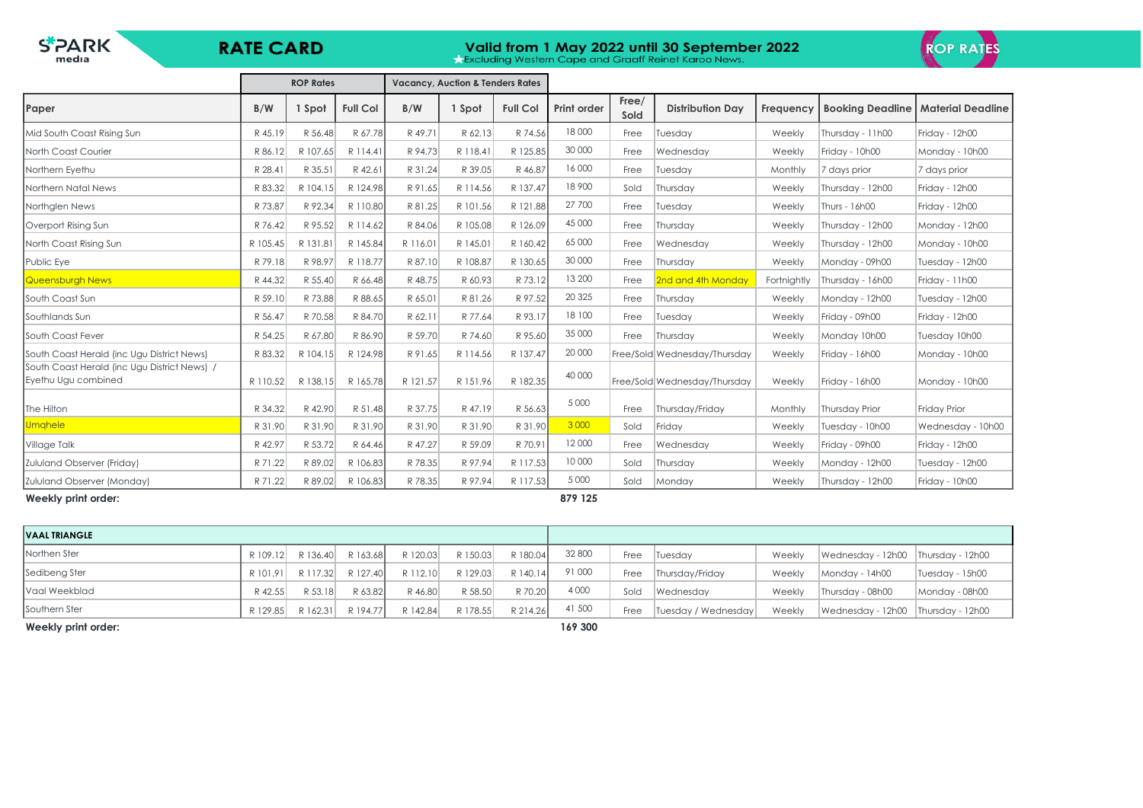| <b>STARK</b><br><b>RATE CARD</b><br>media                           |          |                  |                 |          |                                             |                 | Valid from 1 May 2022 until 30 September 2022<br><b>Excluding Western Cape and Graaff Reinet Karoo News.</b> |               |                              | <b>ROP RATES</b> |                         |                          |
|---------------------------------------------------------------------|----------|------------------|-----------------|----------|---------------------------------------------|-----------------|--------------------------------------------------------------------------------------------------------------|---------------|------------------------------|------------------|-------------------------|--------------------------|
|                                                                     |          | <b>ROP Rates</b> |                 |          | <b>Vacancy, Auction &amp; Tenders Rates</b> |                 |                                                                                                              |               |                              |                  |                         |                          |
| Paper                                                               | B/W      | 1 Spot           | <b>Full Col</b> | B/W      | 1 Spot                                      | <b>Full Col</b> | <b>Print order</b>                                                                                           | Free/<br>Sold | <b>Distribution Day</b>      | Freauency        | <b>Booking Deadline</b> | <b>Material Deadline</b> |
| Mid South Coast Rising Sun                                          | R 45.19  | R 56.48          | R 67.78         | R 49.71  | R 62.13                                     | R 74.56         | 18 000                                                                                                       | Free          | Tuesday                      | Weekly           | Thursday - 11h00        | Friday - 12h00           |
| North Coast Courier                                                 | R 86.12  | R 107.65         | R 114.41        | R 94.73  | R 118.41                                    | R 125.85        | 30 000                                                                                                       | Free          | Wednesday                    | Weekly           | Friday - 10h00          | Monday - 10h00           |
| Northern Eyethu                                                     | R 28.41  | R 35.51          | R 42.6          | R 31.24  | R 39.05                                     | R 46.87         | 16 000                                                                                                       | Free          | Tuesday                      | Monthly          | 7 days prior            | 7 days prior             |
| Northern Natal News                                                 | R 83.32  | R 104.15         | R 124.98        | R 91.65  | R 114.56                                    | R 137.47        | 18 900                                                                                                       | Sold          | Thursday                     | Weekly           | Thursday - 12h00        | Friday - 12h00           |
| Northglen News                                                      | R 73.87  | R 92.34          | R 110.80        | R 81.25  | R 101.56                                    | R 121.88        | 27 700                                                                                                       | Free          | Tuesday                      | Weekly           | Thurs - 16h00           | Friday - 12h00           |
| Overport Rising Sun                                                 | R 76.42  | R 95.52          | R 114.62        | R 84.06  | R 105.08                                    | R 126.09        | 45 000                                                                                                       | Free          | Thursday                     | Weekly           | Thursday - 12h00        | Monday - 12h00           |
| North Coast Rising Sun                                              | R 105.45 | R 131.81         | R 145.84        | R 116.01 | R 145.01                                    | R 160.42        | 65 000                                                                                                       | Free          | Wednesday                    | Weekly           | Thursday - 12h00        | Monday - 10h00           |
| Public Eye                                                          | R 79.18  | R 98.97          | R 118.77        | R 87.10  | R 108.87                                    | R 130.65        | 30 000                                                                                                       | Free          | Thursday                     | Weekly           | Monday - 09h00          | Tuesday - 12h00          |
| Queensburgh News                                                    | R 44.32  | R 55.40          | R 66.48         | R 48.75  | R 60.93                                     | R 73.12         | 13 200                                                                                                       | Free          | 2nd and 4th Monday           | Fortnightly      | Thursday - 16h00        | Friday - 11h00           |
| South Coast Sun                                                     | R 59.10  | R 73.88          | R 88.65         | R 65.01  | R 81.26                                     | R 97.52         | 20 3 25                                                                                                      | Free          | Thursday                     | Weekly           | Monday - 12h00          | Tuesday - 12h00          |
| <b>Southlands Sun</b>                                               | R 56.47  | R 70.58          | R 84.70         | R 62.11  | R 77.64                                     | R 93.17         | 18 100                                                                                                       | Free          | Tuesdav                      | Weekly           | Friday - 09h00          | Friday - 12h00           |
| South Coast Fever                                                   | R 54.25  | R 67.80          | R 86.90         | R 59.70  | R 74.60                                     | R 95.60         | 35 000                                                                                                       | Free          | Thursday                     | Weekly           | Monday 10h00            | Tuesday 10h00            |
| South Coast Herald (inc Ugu District News)                          | R 83.32  | R 104.15         | R 124.98        | R 91.65  | R 114.56                                    | R 137.47        | 20 000                                                                                                       |               | Free/Sold Wednesday/Thursday | Weekly           | Friday - 16h00          | Monday - 10h00           |
| South Coast Herald (inc Ugu District News) /<br>Eyethu Ugu combined | R 110.52 | R 138.15         | R 165.78        | R 121.57 | R 151.96                                    | R 182.35        | 40 000                                                                                                       |               | Free/Sold Wednesday/Thursday | Weekly           | Friday - 16h00          | Monday - 10h00           |
| The Hilton                                                          | R 34.32  | R 42.90          | R 51.48         | R 37.75  | R 47.19                                     | R 56.63         | 5 0 0 0                                                                                                      | Free          | Thursdav/Fridav              | Monthly          | <b>Thursday Prior</b>   | <b>Friday Prior</b>      |
| Umghele                                                             | R 31.90  | R 31.90          | R 31.90         | R 31.90  | R 31.90                                     | R 31.90         | 3 0 0 0                                                                                                      | Sold          | Friday                       | Weekly           | Tuesday - 10h00         | Wednesday - 10h00        |
| Village Talk                                                        | R 42.97  | R 53.72          | R 64.46         | R 47.27  | R 59.09                                     | R 70.91         | 12000                                                                                                        | Free          | Wednesday                    | Weekly           | Friday - 09h00          | Friday - 12h00           |
| Zululand Observer (Friday)                                          | R 71.22  | R 89.02          | R 106.83        | R 78.35  | R 97.94                                     | R 117.53        | 10 000                                                                                                       | Sold          | Thursday                     | Weekly           | Monday - 12h00          | Tuesday - 12h00          |
| Zululand Observer (Monday)                                          | R 71.22  | R 89.02          | R 106.83        | R 78.35  | R 97.94                                     | R 117.53        | 5 0 0 0                                                                                                      | Sold          | Monday                       | Weekly           | Thursday - 12h00        | Friday - 10h00           |
| Weekly print order:                                                 |          |                  |                 |          |                                             |                 | 879 125                                                                                                      |               |                              |                  |                         |                          |

| <b>VAAL TRIANGLE</b> |          |          |          |          |          |          |         |      |                     |        |                                    |                  |
|----------------------|----------|----------|----------|----------|----------|----------|---------|------|---------------------|--------|------------------------------------|------------------|
| Northen Ster         | R 109.12 | R 136.40 | R 163.68 | R 120.03 | R 150.03 | R 180.04 | 32 800  | Free | <b>Tuesday</b>      | Weekly | Wednesday - 12h00 Thursday - 12h00 |                  |
| Sedibeng Ster        | R 101.91 | R 117.32 | R 127.40 | R 112.10 | R 129.03 | R 140.14 | 91 000  | Free | Thursday/Friday     | Weekly | Monday - 14h00                     | Tuesday - 15h00  |
| Vaal Weekblad        | R 42.55  | R 53.18  | R 63.82  | R 46.80  | R 58.50  | R 70.20  | 4 0 0 0 | Sold | <b>Wednesday</b>    | Weekly | Thursday - 08h00                   | Monday - 08h00   |
| Southern Ster        | R 129.85 | R 162.31 | R 194.77 | R 142.84 | R 178.55 | R 214.26 | 41 500  | Free | Tuesday / Wednesday | Weekly | Wednesday - 12h00                  | Thursday - 12h00 |
| Weekly print order:  |          |          |          |          |          |          | 169 300 |      |                     |        |                                    |                  |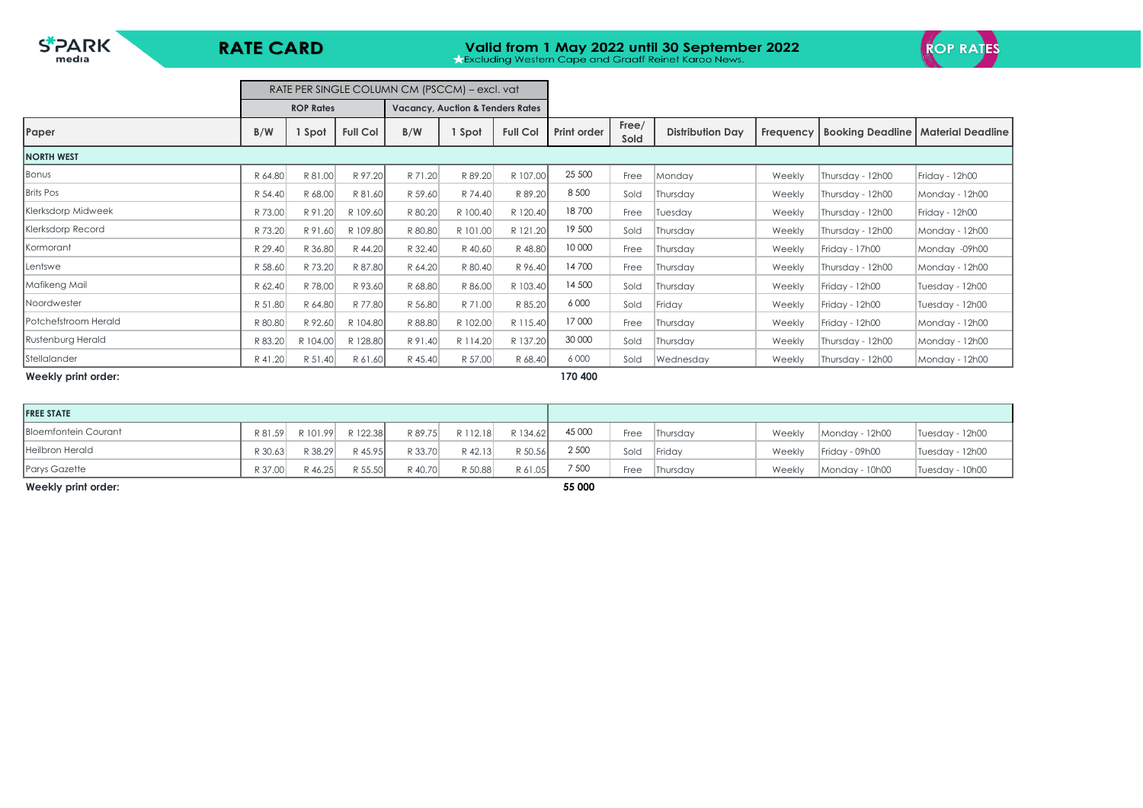

 $\blacksquare$ 

# **Valid from 1 May 2022 until 30 September 2022**<br>**A Excluding Western Cape and Graaff Reinet Karoo News.**



|                      |         |                  |                 | RATE PER SINGLE COLUMN CM (PSCCM) – excl. vat |                                             |                 |                    |               |                         |           |                  |                                             |
|----------------------|---------|------------------|-----------------|-----------------------------------------------|---------------------------------------------|-----------------|--------------------|---------------|-------------------------|-----------|------------------|---------------------------------------------|
|                      |         | <b>ROP Rates</b> |                 |                                               | <b>Vacancy, Auction &amp; Tenders Rates</b> |                 |                    |               |                         |           |                  |                                             |
| Paper                | B/W     | I Spot           | <b>Full Col</b> | B/W                                           | I Spot                                      | <b>Full Col</b> | <b>Print order</b> | Free/<br>Sold | <b>Distribution Day</b> | Frequency |                  | <b>Booking Deadline   Material Deadline</b> |
| <b>NORTH WEST</b>    |         |                  |                 |                                               |                                             |                 |                    |               |                         |           |                  |                                             |
| Bonus                | R 64.80 | R 81.00          | R 97.20         | R 71.20                                       | R 89.20                                     | R 107.00        | 25 500             | Free          | Monday                  | Weekly    | Thursday - 12h00 | Friday - 12h00                              |
| <b>Brits Pos</b>     | R 54.40 | R 68.00          | R 81.60         | R 59.60                                       | R 74.40                                     | R 89.20         | 8 5 0 0            | Sold          | Thursday                | Weekly    | Thursday - 12h00 | Monday - 12h00                              |
| Klerksdorp Midweek   | R 73.00 | R 91.20          | R 109.60        | R 80.20                                       | R 100.40                                    | R 120.40        | 18700              | Free          | Tuesday                 | Weekly    | Thursday - 12h00 | Friday - 12h00                              |
| Klerksdorp Record    | R 73.20 | R 91.60          | R 109.80        | R 80.80                                       | R 101.00                                    | R 121.20        | 19 500             | Sold          | Thursday                | Weekly    | Thursday - 12h00 | Monday - 12h00                              |
| Kormorant            | R 29.40 | R 36.80          | R 44.20         | R 32.40                                       | R 40.60                                     | R 48.80         | 10 000             | Free          | Thursday                | Weekly    | Friday - 17h00   | Monday -09h00                               |
| Lentswe              | R 58.60 | R 73.20          | R 87.80         | R 64.20                                       | R 80.40                                     | R 96.40         | 14700              | Free          | Thursday                | Weekly    | Thursday - 12h00 | Monday - 12h00                              |
| Mafikeng Mail        | R 62.40 | R 78.00          | R 93.60         | R 68.80                                       | R 86.00                                     | R 103.40        | 14 500             | Sold          | Thursday                | Weekly    | Friday - 12h00   | Tuesday - 12h00                             |
| Noordwester          | R 51.80 | R 64.80          | R 77.80         | R 56.80                                       | R 71.00                                     | R 85.20         | 6 0 0 0            | Sold          | Friday                  | Weekly    | Friday - 12h00   | Tuesday - 12h00                             |
| Potchefstroom Herald | R 80.80 | R 92.60          | R 104.80        | R 88.80                                       | R 102.00                                    | R 115.40        | 17000              | Free          | Thursday                | Weekly    | Friday - 12h00   | Monday - 12h00                              |
| Rustenburg Herald    | R 83.20 | R 104.00         | R 128.80        | R 91.40                                       | R 114.20                                    | R 137.20        | 30 000             | Sold          | Thursday                | Weekly    | Thursday - 12h00 | Monday - 12h00                              |
| Stellalander         | R 41.20 | R 51.40          | R 61.60         | R 45.40                                       | R 57.00                                     | R 68.40         | 6000               | Sold          | Wednesday               | Weekly    | Thursday - 12h00 | Monday - 12h00                              |

### **Weekly print order: 170 400**

| <b>FREE STATE</b>           |         |          |          |         |          |          |        |      |          |        |                |                 |
|-----------------------------|---------|----------|----------|---------|----------|----------|--------|------|----------|--------|----------------|-----------------|
| <b>Bloemfontein Courant</b> | R 81.59 | R 101.99 | R 122.38 | R 89.75 | R 112.18 | R 134.62 | 45 000 | Free | Thursday | Weekly | Monday - 12h00 | Tuesday - 12h00 |
| Heilbron Herald             | R 30.63 | R 38.29  | R 45.95  | R 33.70 | R 42.13  | R 50.56  | 2 500  | Sold | Friday   | Weekly | Friday - 09h00 | Tuesday - 12h00 |
| Parys Gazette               | R 37.00 | R 46.25  | R 55.50  | R 40.70 | R 50.88  | R 61.05  | 7 500  | Free | Thursday | Weekly | Monday - 10h00 | Tuesday - 10h00 |
| Weekly print order:         |         |          |          |         |          |          | 55 000 |      |          |        |                |                 |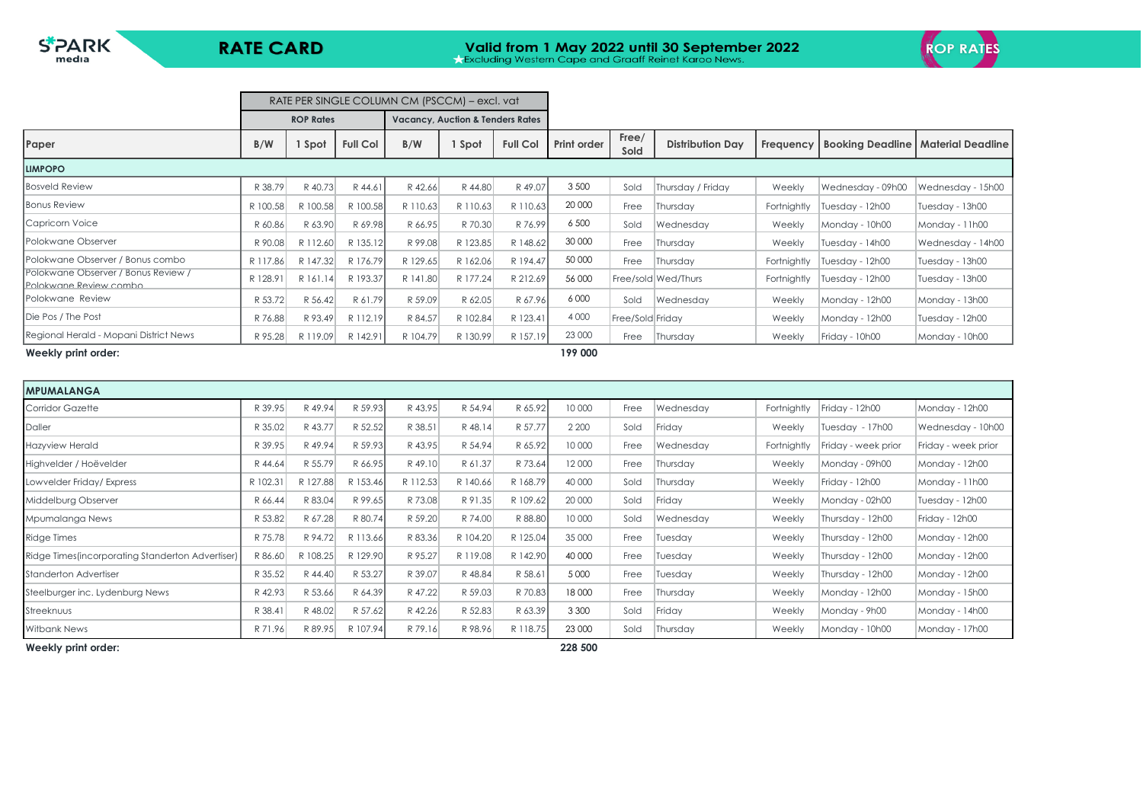

|                                                               |          |                  |                 | RATE PER SINGLE COLUMN CM (PSCCM) – excl. vat |                                             |                 |             |                  |                         |             |                                     |                     |
|---------------------------------------------------------------|----------|------------------|-----------------|-----------------------------------------------|---------------------------------------------|-----------------|-------------|------------------|-------------------------|-------------|-------------------------------------|---------------------|
|                                                               |          | <b>ROP Rates</b> |                 |                                               | <b>Vacancy, Auction &amp; Tenders Rates</b> |                 |             |                  |                         |             |                                     |                     |
| Paper                                                         | B/W      | . Spot           | <b>Full Col</b> | B/W                                           | Spot                                        | <b>Full Col</b> | Print order | Free/<br>Sold    | <b>Distribution Day</b> |             | <b>Frequency   Booking Deadline</b> | l Material Deadline |
| <b>LIMPOPO</b>                                                |          |                  |                 |                                               |                                             |                 |             |                  |                         |             |                                     |                     |
| <b>Bosveld Review</b>                                         | R 38.79  | R 40.73          | R 44.61         | R 42.66                                       | R 44.80                                     | R 49.07         | 3 500       | Sold             | Thursday / Friday       | Weekly      | Wednesday - 09h00                   | Wednesday - 15h00   |
| <b>Bonus Review</b>                                           | R 100.58 | R 100.58         | R 100.58        | R 110.63                                      | R 110.63                                    | R 110.63        | 20 000      | Free             | Thursday                | Fortnightly | Tuesday - 12h00                     | Tuesday - 13h00     |
| Capricorn Voice                                               | R 60.86  | R 63.90          | R 69.98         | R 66.95                                       | R 70.30                                     | R 76.99         | 6 500       | Sold             | Wednesday               | Weekly      | Monday - 10h00                      | Monday - 11h00      |
| <b>Polokwane Observer</b>                                     | R 90.08  | R 112.60         | R 135.12        | R 99.08                                       | R 123.85                                    | R 148.62        | 30 000      | Free             | Thursday                | Weekly      | Tuesday - 14h00                     | Wednesday - 14h00   |
| Polokwane Observer / Bonus combo                              | R 117.86 | R 147.32         | R 176.79        | R 129.65                                      | R 162.06                                    | R 194.47        | 50 000      | Free             | Thursday                | Fortnightly | Tuesday - 12h00                     | Tuesday - 13h00     |
| Polokwane Observer / Bonus Review /<br>Polokwane Review combo | R 128.91 | R 161.14         | R 193.37        | R 141.80                                      | R 177.24                                    | R 212.69        | 56 000      |                  | Free/sold   Wed/Thurs   | Fortnightly | Tuesday - 12h00                     | Tuesday - 13h00     |
| <b>IPolokwane Review</b>                                      | R 53.72  | R 56.42          | R 61.79         | R 59.09                                       | R 62.05                                     | R 67.96         | 6 0 0 0     | Sold             | Wednesday               | Weekly      | Monday - 12h00                      | Monday - 13h00      |
| Die Pos / The Post                                            | R 76.88  | R 93.49          | R 112.19        | R 84.57                                       | R 102.84                                    | R 123.41        | 4 0 0 0     | Free/Sold Friday |                         | Weekly      | Monday - 12h00                      | Tuesday - 12h00     |
| Regional Herald - Mopani District News                        | R 95.28  | R 119.09         | R 142.91        | R 104.79                                      | R 130.99                                    | R 157.19        | 23 000      | Free             | Thursday                | Weekly      | Friday - 10h00                      | Monday - 10h00      |
| Weekly print order:                                           |          |                  |                 |                                               |                                             |                 | 199 000     |                  |                         |             |                                     |                     |

| <b>IMPUMALANGA</b>                                |          |          |          |          |          |          |         |      |           |             |                     |                     |
|---------------------------------------------------|----------|----------|----------|----------|----------|----------|---------|------|-----------|-------------|---------------------|---------------------|
| <b>Corridor Gazette</b>                           | R 39.95  | R 49.94  | R 59.93  | R 43.95  | R 54.94  | R 65.92  | 10 000  | Free | Wednesday | Fortnightly | Friday - 12h00      | Monday - 12h00      |
| Daller                                            | R 35.02  | R 43.77  | R 52.52  | R 38.51  | R 48.14  | R 57.77  | 2 2 0 0 | Sold | Friday    | Weekly      | Tuesday - 17h00     | Wednesday - 10h00   |
| <b>Hazyview Herald</b>                            | R 39.95  | R 49.94  | R 59.93  | R 43.95  | R 54.94  | R 65.92  | 10 000  | Free | Wednesday | Fortnightly | Friday - week prior | Friday - week prior |
| Highvelder / Hoëvelder                            | R 44.64  | R 55.79  | R 66.95  | R 49.10  | R 61.37  | R 73.64  | 12 000  | Free | Thursday  | Weekly      | Monday - 09h00      | Monday - 12h00      |
| Lowvelder Friday/Express                          | R 102.31 | R 127.88 | R 153.46 | R 112.53 | R 140.66 | R 168.79 | 40 000  | Sold | Thursday  | Weekly      | Friday - 12h00      | Monday - 11h00      |
| Middelburg Observer                               | R 66.44  | R 83.04  | R 99.65  | R 73.08  | R 91.35  | R 109.62 | 20 000  | Sold | Friday    | Weekly      | Monday - 02h00      | Tuesday - 12h00     |
| Mpumalanga News                                   | R 53.82  | R 67.28  | R 80.74  | R 59.20  | R 74.00  | R 88.80  | 10 000  | Sold | Wednesday | Weekly      | Thursday - 12h00    | Friday - 12h00      |
| <b>Ridge Times</b>                                | R 75.78  | R 94.72  | R 113.66 | R 83.36  | R 104.20 | R 125.04 | 35 000  | Free | Tuesday   | Weekly      | Thursday - 12h00    | Monday - 12h00      |
| Ridge Times (incorporating Standerton Advertiser) | R 86.60  | R 108.25 | R 129.90 | R 95.27  | R 119.08 | R 142.90 | 40 000  | Free | Tuesday   | Weekly      | Thursday - 12h00    | Monday - 12h00      |
| <b>Standerton Advertiser</b>                      | R 35.52  | R 44.40  | R 53.27  | R 39.07  | R 48.84  | R 58.61  | 5 0 0 0 | Free | Tuesday   | Weekly      | Thursday - 12h00    | Monday - 12h00      |
| Steelburger inc. Lydenburg News                   | R 42.93  | R 53.66  | R 64.39  | R 47.22  | R 59.03  | R 70.83  | 18 000  | Free | Thursday  | Weekly      | Monday - 12h00      | Monday - 15h00      |
| Streeknuus                                        | R 38.41  | R 48.02  | R 57.62  | R 42.26  | R 52.83  | R 63.39  | 3 3 0 0 | Sold | Friday    | Weekly      | Monday - 9h00       | Monday - 14h00      |
| <b>Witbank News</b>                               | R 71.96  | R 89.95  | R 107.94 | R 79.16  | R 98.96  | R 118.75 | 23 000  | Sold | Thursday  | Weekly      | Monday - 10h00      | Monday - 17h00      |

**Weekly print order: 228 500**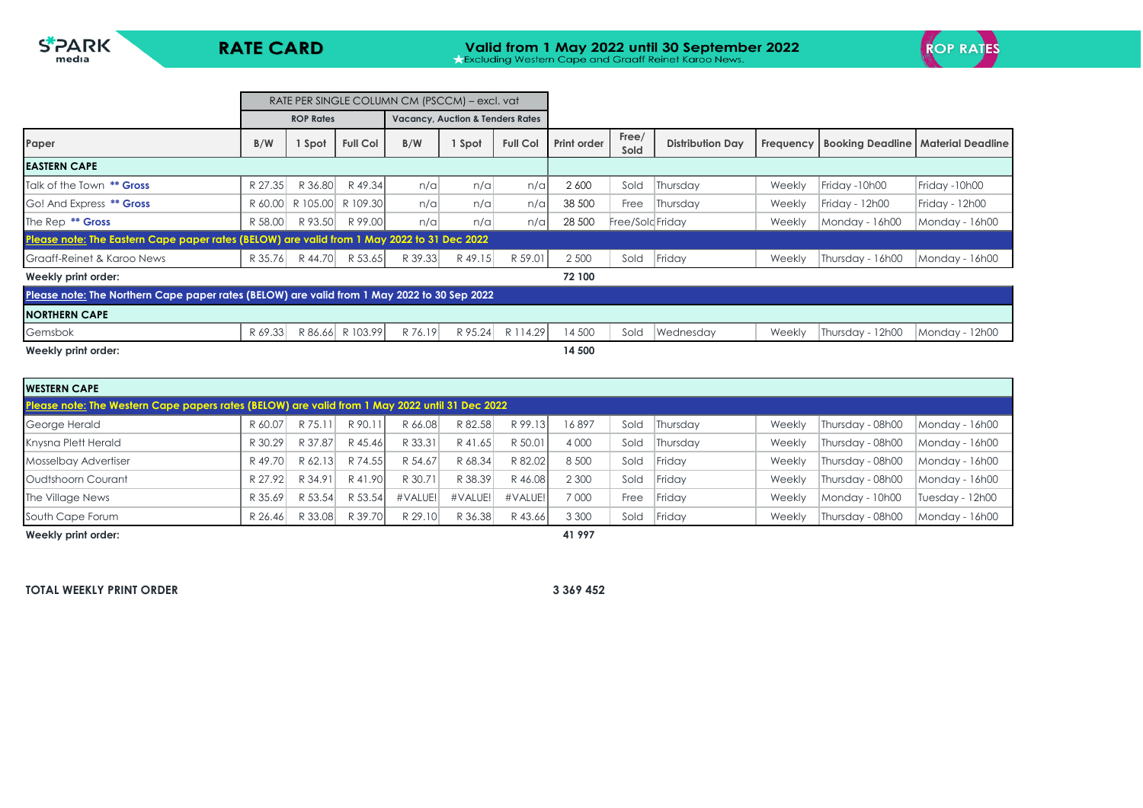

|                                                                                             |         |                  |                  | RATE PER SINGLE COLUMN CM (PSCCM) – excl. vat |                                             |                 |             |                  |                         |           |                  |                                             |
|---------------------------------------------------------------------------------------------|---------|------------------|------------------|-----------------------------------------------|---------------------------------------------|-----------------|-------------|------------------|-------------------------|-----------|------------------|---------------------------------------------|
|                                                                                             |         | <b>ROP Rates</b> |                  |                                               | <b>Vacancy, Auction &amp; Tenders Rates</b> |                 |             |                  |                         |           |                  |                                             |
| Paper                                                                                       | B/W     | I Spot           | <b>Full Col</b>  | B/W                                           | Spot                                        | <b>Full Col</b> | Print order | Free/<br>Sold    | <b>Distribution Day</b> | Frequency |                  | <b>Booking Deadline   Material Deadline</b> |
| <b>EASTERN CAPE</b>                                                                         |         |                  |                  |                                               |                                             |                 |             |                  |                         |           |                  |                                             |
| Talk of the Town ** Gross                                                                   | R 27.35 | R 36.80          | R 49.34          | n/a                                           | n/a                                         | $n/\alpha$      | 2 600       | Sold             | Thursday                | Weekly    | Friday -10h00    | Friday -10h00                               |
| Go! And Express ** Gross                                                                    | R 60.00 | R 105.00         | R 109.30         | n/a                                           | n/a                                         | $n/\alpha$      | 38 500      | Free             | Thursday                | Weekly    | Friday - 12h00   | Friday - 12h00                              |
| The Rep <sup>**</sup> Gross                                                                 | R 58.00 | R 93.50          | R 99.00          | n/a                                           | n/a                                         | n/a             | 28 500      | Free/Sold Friday |                         | Weekly    | Monday - 16h00   | Monday - 16h00                              |
| Please note: The Eastern Cape paper rates (BELOW) are valid from 1 May 2022 to 31 Dec 2022  |         |                  |                  |                                               |                                             |                 |             |                  |                         |           |                  |                                             |
| Graaff-Reinet & Karoo News                                                                  | R 35.76 | R 44.70          | R 53.65          | R 39.33                                       | R 49.15                                     | R 59.01         | 2 500       | Sold             | Friday                  | Weekly    | Thursday - 16h00 | Monday - 16h00                              |
| Weekly print order:                                                                         |         |                  |                  |                                               |                                             |                 | 72 100      |                  |                         |           |                  |                                             |
| Please note: The Northern Cape paper rates (BELOW) are valid from 1 May 2022 to 30 Sep 2022 |         |                  |                  |                                               |                                             |                 |             |                  |                         |           |                  |                                             |
| <b>INORTHERN CAPE</b>                                                                       |         |                  |                  |                                               |                                             |                 |             |                  |                         |           |                  |                                             |
| Gemsbok                                                                                     | R 69.33 |                  | R 86.66 R 103.99 | R 76.19                                       | R 95.24                                     | R 114.29        | 14 500      | Sold             | Wednesday               | Weekly    | Thursday - 12h00 | Monday - 12h00                              |
| Weekly print order:                                                                         |         |                  |                  |                                               |                                             |                 | 14 500      |                  |                         |           |                  |                                             |

| <b>WESTERN CAPE</b>                                                                            |         |         |         |         |         |         |         |      |          |        |                  |                 |
|------------------------------------------------------------------------------------------------|---------|---------|---------|---------|---------|---------|---------|------|----------|--------|------------------|-----------------|
| Please note: The Western Cape papers rates (BELOW) are valid from 1 May 2022 until 31 Dec 2022 |         |         |         |         |         |         |         |      |          |        |                  |                 |
| George Herald                                                                                  | R 60.07 | R 75.1  | R 90.11 | R 66.08 | R 82.58 | R 99.13 | 16897   | Sold | Thursday | Weekly | Thursday - 08h00 | Monday - 16h00  |
| Knysna Plett Herald                                                                            | R 30.29 | R 37.87 | R 45.46 | R 33.31 | R 41.65 | R 50.01 | 4 0 0 0 | Sold | Thursday | Weekly | Thursday - 08h00 | Monday - 16h00  |
| Mosselbay Advertiser                                                                           | R49.70  | R 62.13 | R 74.55 | R 54.67 | R 68.34 | R 82.02 | 8 500   | Sold | Friday   | Weekly | Thursday - 08h00 | Monday - 16h00  |
| Oudtshoorn Courant                                                                             | R 27.92 | R 34.91 | R 41.90 | R 30.71 | R 38.39 | R 46.08 | 2 3 0 0 | Sold | Friday   | Weekly | Thursday - 08h00 | Monday - 16h00  |
| The Village News                                                                               | R 35.69 | R 53.54 | R 53.54 | #VALUE! | #VALUE! | #VALUE! | 7000    | Free | Friday   | Weekly | Monday - 10h00   | Tuesday - 12h00 |
| South Cape Forum                                                                               | R 26.46 | R 33.08 | R 39.70 | R 29.10 | R 36.38 | R 43.66 | 3 3 0 0 | Sold | Friday   | Weekly | Thursday - 08h00 | Monday - 16h00  |
| Weekly print order:                                                                            |         |         |         |         |         |         | 41 997  |      |          |        |                  |                 |

**TOTAL WEEKLY PRINT ORDER 3 369 452**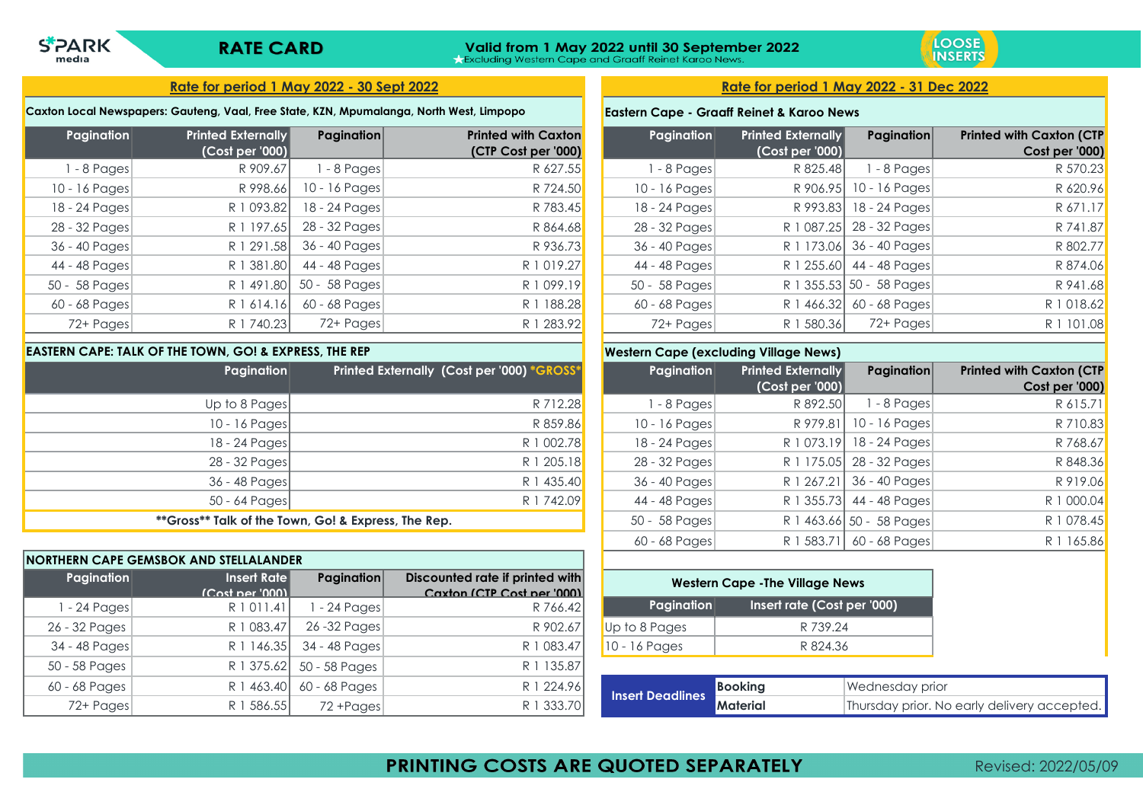# **Valid from 1 May 2022 until 30 September 2022**<br>A Excluding Western Cape and Graaff Reinet Karoo News.



### **Rate for period 1 May 2022 - 30 Sept 2022 Rate for period 1 May 2022 - 31 Dec 2022**

### **Caxton Local Newspapers: Gauteng, Vaal, Free State, KZN, Mpumalanga, North West, Limpopo**

| Pagination      | <b>Printed Externally</b> | <b>Pagination</b> | <b>Printed with Caxton</b> | Pagination      | <b>Printed Externally</b> | <b>Pagination</b>        | <b>Printed with Caxton (CTP</b> |
|-----------------|---------------------------|-------------------|----------------------------|-----------------|---------------------------|--------------------------|---------------------------------|
|                 | (Cost per '000)           |                   | (CTP Cost per '000)        |                 | (Cost per '000)           |                          | Cost per '000)                  |
| $1 - 8$ Pages   | R 909.67                  | -8 Pages          | R 627.55                   | 1 - 8 Pages     | R 825.48                  | $1 - 8$ Pages            | R 570.23                        |
| $10 - 16$ Pages | R 998.66                  | $10 - 16$ Pages   | R 724.50                   | $10 - 16$ Pages |                           | R 906.95 10 - 16 Pages   | R 620.96                        |
| 18 - 24 Pages   | R 1 093.82                | 18 - 24 Pages     | R 783.45                   | $18 - 24$ Pages |                           | R 993.83 18 - 24 Pages   | R 671.17                        |
| 28 - 32 Pages   | R 1 197.65                | 28 - 32 Pages     | R 864.68                   | 28 - 32 Pages   |                           | R 1 087.25 28 - 32 Pages | R 741.87                        |
| 36 - 40 Pages   | R 1 291.58                | 36 - 40 Pages     | R 936.73                   | 36 - 40 Pages   |                           | R 1 173.06 36 - 40 Pages | R 802.77                        |
| 44 - 48 Pages   | R 1 381.80                | 44 - 48 Pages     | R 1 019.27                 | 44 - 48 Pages   |                           | R 1 255.60 44 - 48 Pages | R 874.06                        |
| 50 - 58 Pages   | R 1 491.80                | 50 - 58 Pages     | R 1 099.19                 | 50 - 58 Pages   |                           | R 1 355.53 50 - 58 Pages | R 941.68                        |
| $60 - 68$ Pages | R 1 614.16                | 60 - 68 Pages     | R 1 188.28                 | 60 - 68 Pages   |                           | R 1 466.32 60 - 68 Pages | R 1 018.62                      |
| 72+ Pages       | R 1 740.23                | 72+ Pages         | R 1 283.92                 | 72+ Pages       | R 1 580.36                | 72+ Pages                | R 1 101.08                      |

### **EASTERN CAPE: TALK OF THE TOWN, GO! & EXPRESS, THE REP**

**SPARK** 

media

| Pagination      | Printed Externally (Cost per '000) *GROSS*          |
|-----------------|-----------------------------------------------------|
| Up to 8 Pages   | R 712.28                                            |
| $10 - 16$ Pages | R 859.86                                            |
| 18 - 24 Pages   | R 1 002.78                                          |
| 28 - 32 Pages   | R 1 205.18                                          |
| 36 - 48 Pages   | R 1 435.40                                          |
| $50 - 64$ Pages | R 1 742.09                                          |
|                 | **Gross** Talk of the Town, Go! & Express, The Rep. |

|               | NORTHERN CAPE GEMSBOK AND STELLALANDER |                   |                                 |                         |                       |
|---------------|----------------------------------------|-------------------|---------------------------------|-------------------------|-----------------------|
| Pagination    | Insert Rate                            | <b>Pagination</b> | Discounted rate if printed with |                         | <b>Western Cape -</b> |
|               | $ C$ ost ner '0001                     |                   | Caxton (CTP Cost ner '000)      |                         |                       |
| 1 - 24 Pages  | R 1 0 1 1 .4 1                         | I - 24 Pages      | R 766.42                        | Pagination              | Ins                   |
| 26 - 32 Pages | R 1 083.47                             | 26-32 Pages       | R 902.67                        | Up to 8 Pages           |                       |
| 34 - 48 Pages | R 1 146.35                             | 34 - 48 Pages     | R 1 083.47                      | $10 - 16$ Pages         |                       |
| 50 - 58 Pages | R 1 375.62                             | 50 - 58 Pages     | R 1 135.87                      |                         |                       |
| 60 - 68 Pages | R 1 463.40                             | 60 - 68 Pages     | R 1 224.96                      | <b>Insert Deadlines</b> | <b>Booking</b>        |
| 72+ Pages     | R 1 586.55                             | 72 + Pages        | R 1 333.70                      |                         | <b>Material</b>       |

### **Eastern Cape - Graaff Reinet & Karoo News**

| Pagination    | <b>Printed Externally</b><br>(Cost per '000) | Pagination               | <b>Printed with Caxton (CTP</b><br>Cost per '000) |
|---------------|----------------------------------------------|--------------------------|---------------------------------------------------|
| 1 - 8 Pages   | R 825.48                                     | 1 - 8 Pages              | R 570.23                                          |
| 10 - 16 Pages | R 906.95                                     | 10 - 16 Pages            | R 620.96                                          |
| 18 - 24 Pages | R 993.83                                     | 18 - 24 Pages            | R 671.17                                          |
| 28 - 32 Pages | R 1 087.25                                   | 28 - 32 Pages            | R 741.87                                          |
| 36 - 40 Pages | R 1 173.06                                   | 36 - 40 Pages            | R 802.77                                          |
| 44 - 48 Pages | R 1 255.60                                   | 44 - 48 Pages            | R 874.06                                          |
| 50 - 58 Pages |                                              | R 1 355.53 50 - 58 Pages | R 941.68                                          |
| 60 - 68 Pages | R 1 466.32                                   | 60 - 68 Pages            | R 1 018.62                                        |
| 72+ Pages     | R 1 580.36                                   | 72+ Pages                | R 1 101.08                                        |

### **Western Cape (excluding Village News)**

| Pagination    | <b>Printed Externally</b><br>(Cost per '000) | Pagination               | <b>Printed with Caxton (CTP</b><br>Cost per '000) |
|---------------|----------------------------------------------|--------------------------|---------------------------------------------------|
| $1 - 8$ Pages | R 892.50                                     | 1 - 8 Pages              | R 615.71                                          |
| 10 - 16 Pages | R 979.81                                     | 10 - 16 Pages            | R 710.83                                          |
| 18 - 24 Pages | R 1 073.19                                   | 18 - 24 Pages            | R 768.67                                          |
| 28 - 32 Pages | R 1 175.05                                   | 28 - 32 Pages            | R 848.36                                          |
| 36 - 40 Pages | R 1 267.21                                   | 36 - 40 Pages            | R 919.06                                          |
| 44 - 48 Pages |                                              | R 1 355.73 44 - 48 Pages | R 1 000.04                                        |
| 50 - 58 Pages |                                              | R 1 463.66 50 - 58 Pages | R 1 078.45                                        |
| 60 - 68 Pages | R 1 583.71                                   | 60 - 68 Pages            | R 1 165.86                                        |

| <b>Western Cape - The Village News</b>    |
|-------------------------------------------|
| Insert rate (Cost per '000)<br>Pagination |
| R 739.24                                  |
| R 824.36                                  |
|                                           |

|                                 | <b>Booking</b> | Wednesday prior                             |
|---------------------------------|----------------|---------------------------------------------|
| <b>Theat Deadlines Material</b> |                | Thursday prior. No early delivery accepted. |

PRINTING COSTS ARE QUOTED SEPARATELY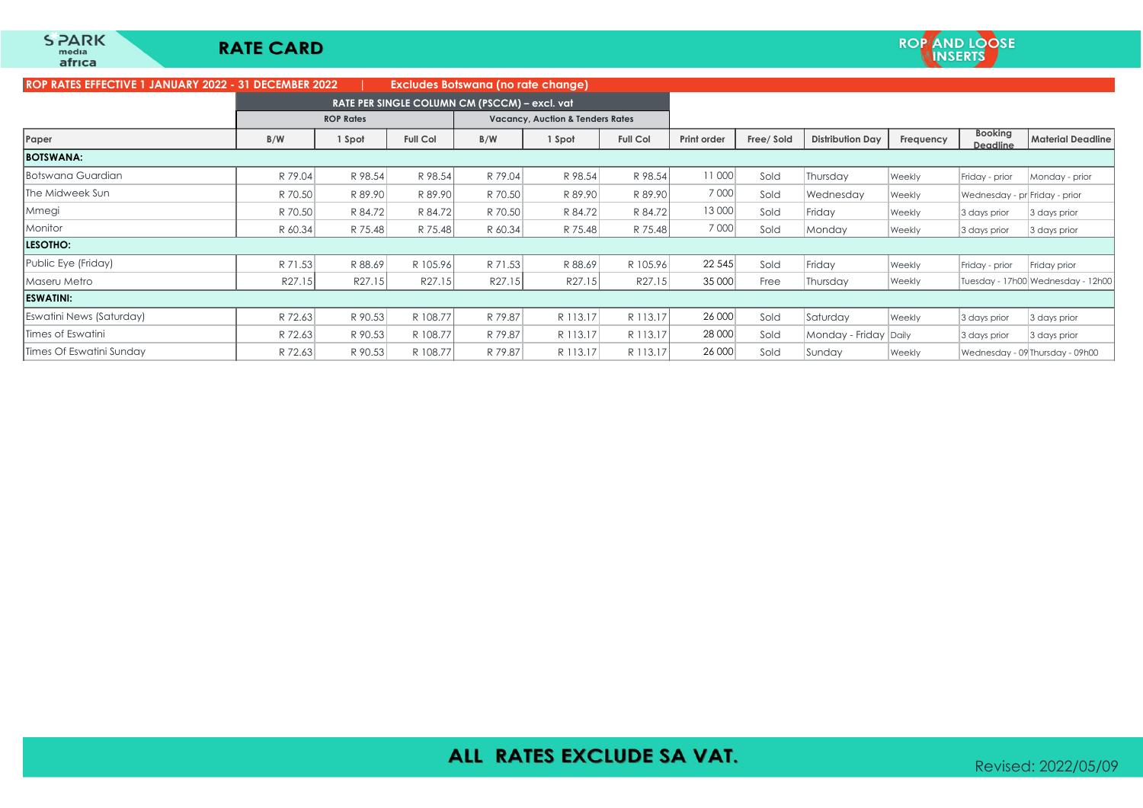| ROP KAIES EFFECTIVE T JANUAKT 2022 - 31 DECEMBER 2022 |         |                  |                 | <b>EXCIUGES BOISWAND (NO FATE CHANGE)</b>     |                                             |                 |             |            |                         |           |                               |                                   |
|-------------------------------------------------------|---------|------------------|-----------------|-----------------------------------------------|---------------------------------------------|-----------------|-------------|------------|-------------------------|-----------|-------------------------------|-----------------------------------|
|                                                       |         |                  |                 | RATE PER SINGLE COLUMN CM (PSCCM) - excl. vat |                                             |                 |             |            |                         |           |                               |                                   |
|                                                       |         | <b>ROP Rates</b> |                 |                                               | <b>Vacancy, Auction &amp; Tenders Rates</b> |                 |             |            |                         |           |                               |                                   |
| Paper                                                 | B/W     | 1 Spot           | <b>Full Col</b> | B/W                                           | 1 Spot                                      | <b>Full Col</b> | Print order | Free/ Sold | <b>Distribution Day</b> | Frequency | <b>Booking</b><br>Deadline    | <b>Material Deadline</b>          |
| <b>BOTSWANA:</b>                                      |         |                  |                 |                                               |                                             |                 |             |            |                         |           |                               |                                   |
| Botswana Guardian                                     | R 79.04 | R 98.54          | R 98.54         | R 79.04                                       | R 98.54                                     | R 98.54         | 11 000      | Sold       | Thursday                | Weekly    | Friday - prior                | Monday - prior                    |
| The Midweek Sun                                       | R 70.50 | R 89.90          | R 89.90         | R 70.50                                       | R 89.90                                     | R 89.90         | 7 000       | Sold       | Wednesday               | Weekly    | Wednesday - pr Friday - prior |                                   |
| Mmegi                                                 | R 70.50 | R 84.72          | R 84.72         | R 70.50                                       | R 84.72                                     | R 84.72         | 13 000      | Sold       | Friday                  | Weekly    | 3 days prior                  | 3 days prior                      |
| Monitor                                               | R 60.34 | R 75.48          | R 75.48         | R 60.34                                       | R 75.48                                     | R 75.48         | 7 0 0 0     | Sold       | Monday                  | Weekly    | 3 days prior                  | 3 days prior                      |
| <b>LESOTHO:</b>                                       |         |                  |                 |                                               |                                             |                 |             |            |                         |           |                               |                                   |
| Public Eye (Friday)                                   | R 71.53 | R 88.69          | R 105.96        | R 71.53                                       | R 88.69                                     | R 105.96        | 22 5 45     | Sold       | Friday                  | Weekly    | Friday - prior                | Friday prior                      |
| Maseru Metro                                          | R27.15  | R27.15           | R27.15          | R27.15                                        | R27.15                                      | R27.15          | 35 000      | Free       | Thursday                | Weekly    |                               | Tuesday - 17h00 Wednesday - 12h00 |
| <b>ESWATINI:</b>                                      |         |                  |                 |                                               |                                             |                 |             |            |                         |           |                               |                                   |
| Eswatini News (Saturday)                              | R 72.63 | R 90.53          | R 108.77        | R 79.87                                       | R 113.17                                    | R 113.17        | 26 000      | Sold       | Saturday                | Weekly    | 3 days prior                  | 3 days prior                      |
| Times of Eswatini                                     | R 72.63 | R 90.53          | R 108.77        | R 79.87                                       | R 113.17                                    | R 113.17        | 28 000      | Sold       | Monday - Friday Daily   |           | 3 days prior                  | 3 days prior                      |
| Times Of Eswatini Sundav                              | R 72.63 | R 90.53          | R 108.77        | R 79.87                                       | R 113.17                                    | R 113.17        | 26 000      | Sold       | Sunday                  | Weekly    |                               | Wednesday - 09 Thursday - 09h00   |

## ALL RATES EXCLUDE SA VAT.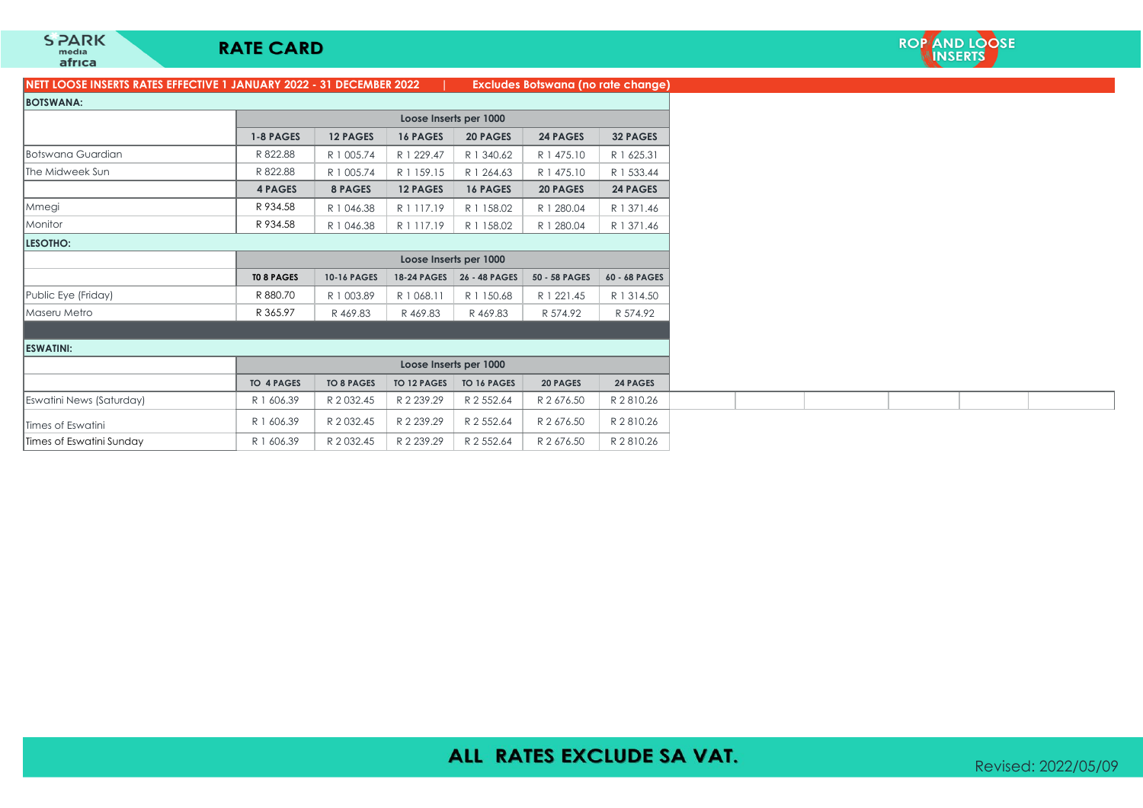## **RATE CARD**

### **NETT LOOSE INSERTS RATES EFFECTIVE 1 JANUARY 2022 - 31 DECEMBER 2022 | Excludes Botswana (no rate change)**

| 022 |  |  | <b>Excludes Botswana (no rate</b> |  |  |
|-----|--|--|-----------------------------------|--|--|
|-----|--|--|-----------------------------------|--|--|

| <b>BOTSWANA:</b>         |                   |                    |                    |                        |                 |                 |
|--------------------------|-------------------|--------------------|--------------------|------------------------|-----------------|-----------------|
|                          |                   |                    |                    | Loose Inserts per 1000 |                 |                 |
|                          | 1-8 PAGES         | <b>12 PAGES</b>    | <b>16 PAGES</b>    | <b>20 PAGES</b>        | <b>24 PAGES</b> | <b>32 PAGES</b> |
| Botswana Guardian        | R 822.88          | R 1 005.74         | R 1 229.47         | R 1 340.62             | R 1 475.10      | R 1 625.31      |
| The Midweek Sun          | R 822.88          | R 1 005.74         | R 1 159.15         | R 1 264.63             | R 1 475.10      | R 1 533.44      |
|                          | <b>4 PAGES</b>    | 8 PAGES            | <b>12 PAGES</b>    | <b>16 PAGES</b>        | <b>20 PAGES</b> | <b>24 PAGES</b> |
| Mmegi                    | R 934.58          | R 1 046.38         | R 1 117.19         | R 1 158.02             | R 1 280.04      | R 1 371.46      |
| Monitor                  | R 934.58          | R 1 046.38         | R 1 117.19         | R 1 158.02             | R 1 280.04      | R 1 371.46      |
| LESOTHO:                 |                   |                    |                    |                        |                 |                 |
|                          |                   |                    |                    | Loose Inserts per 1000 |                 |                 |
|                          | <b>TO 8 PAGES</b> | <b>10-16 PAGES</b> | <b>18-24 PAGES</b> | 26 - 48 PAGES          | 50 - 58 PAGES   | 60 - 68 PAGES   |
| Public Eye (Friday)      | R 880.70          | R 1 003.89         | R 1 068.11         | R 1 150.68             | R 1 221.45      | R 1 3 1 4.50    |
| Maseru Metro             | R 365.97          | R 469.83           | R469.83            | R469.83                | R 574.92        | R 574.92        |
|                          |                   |                    |                    |                        |                 |                 |
| <b>ESWATINI:</b>         |                   |                    |                    |                        |                 |                 |
|                          |                   |                    |                    | Loose Inserts per 1000 |                 |                 |
|                          | <b>TO 4 PAGES</b> | <b>TO 8 PAGES</b>  | <b>TO 12 PAGES</b> | <b>TO 16 PAGES</b>     | <b>20 PAGES</b> | <b>24 PAGES</b> |
| Eswatini News (Saturday) | R 1 606.39        | R 2 0 3 2.45       | R 2 239.29         | R 2 552.64             | R 2 676.50      | R 2810.26       |
| Times of Eswatini        | R 1 606.39        | R 2 0 3 2.45       | R 2 239.29         | R 2 552.64             | R 2 676.50      | R 2810.26       |
| Times of Eswatini Sunday | R 1 606.39        | R 2 0 3 2.45       | R 2 239.29         | R 2 552.64             | R 2 676.50      | R 2 810.26      |

## ALL RATES EXCLUDE SA VAT.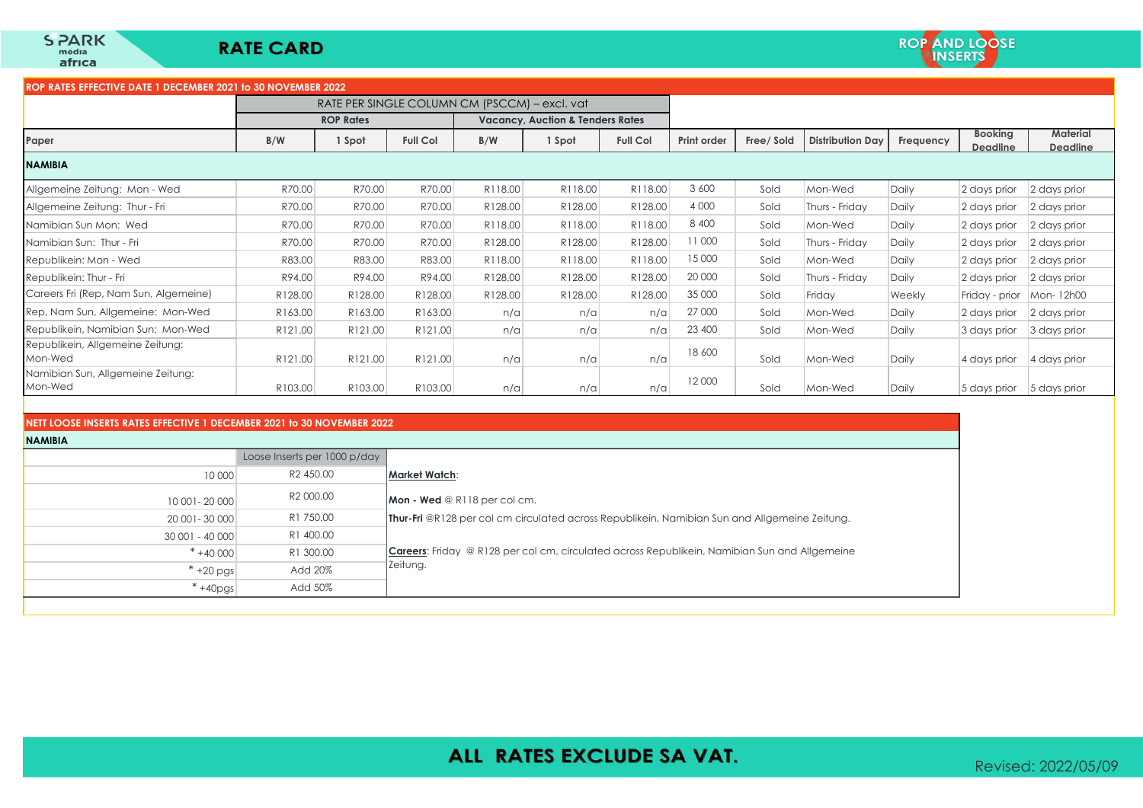### **ROP RATES EFFECTIVE DATE 1 DECEMBER 2021 to 30 NOVEMBER 2022**

|                                              | RATE PER SINGLE COLUMN CM (PSCCM) – excl. vat |                  |                 |                                             |         |                 |             |            |                         |           |                            |                                    |
|----------------------------------------------|-----------------------------------------------|------------------|-----------------|---------------------------------------------|---------|-----------------|-------------|------------|-------------------------|-----------|----------------------------|------------------------------------|
|                                              |                                               | <b>ROP Rates</b> |                 | <b>Vacancy, Auction &amp; Tenders Rates</b> |         |                 |             |            |                         |           |                            |                                    |
| Paper                                        | B/W                                           | 1 Spot           | <b>Full Col</b> | B/W                                         | 1 Spot  | <b>Full Col</b> | Print order | Free/ Sold | <b>Distribution Day</b> | Frequency | <b>Booking</b><br>Deadline | <b>Material</b><br><b>Deadline</b> |
| <b>NAMIBIA</b>                               |                                               |                  |                 |                                             |         |                 |             |            |                         |           |                            |                                    |
| Allgemeine Zeitung: Mon - Wed                | R70.00                                        | R70.00           | R70.00          | R118.00                                     | R118.00 | R118.00         | 3 600       | Sold       | Mon-Wed                 | Daily     | 2 days prior               | 2 days prior                       |
| Allgemeine Zeitung: Thur - Fri               | R70.00                                        | R70.00           | R70.00          | R128.00                                     | R128.00 | R128.00         | 4 0 0 0     | Sold       | Thurs - Friday          | Daily     | 2 days prior               | 2 days prior                       |
| Namibian Sun Mon: Wed                        | R70.00                                        | R70.00           | R70.00          | R118.00                                     | R118.00 | R118.00         | 8 4 0 0     | Sold       | Mon-Wed                 | Daily     | 2 days prior               | 2 days prior                       |
| Namibian Sun: Thur - Fri                     | R70.00                                        | R70.00           | R70.00          | R128.00                                     | R128.00 | R128.00         | 11000       | Sold       | Thurs - Friday          | Daily     | 2 days prior               | 2 days prior                       |
| Republikein: Mon - Wed                       | R83.00                                        | R83.00           | R83.00          | R118.00                                     | R118.00 | R118.00         | 15 000      | Sold       | Mon-Wed                 | Daily     | 2 days prior               | 2 days prior                       |
| Republikein: Thur - Fri                      | R94.00                                        | R94.00           | R94.00          | R128.00                                     | R128.00 | R128.00         | 20 000      | Sold       | Thurs - Friday          | Daily     | 2 days prior               | 2 days prior                       |
| Careers Fri (Rep, Nam Sun, Algemeine)        | R128.00                                       | R128.00          | R128.00         | R128.00                                     | R128.00 | R128.00         | 35 000      | Sold       | Friday                  | Weekly    | Friday - prior             | Mon-12h00                          |
| Rep, Nam Sun, Allgemeine: Mon-Wed            | R163.00                                       | R163.00          | R163.00         | n/a                                         | n/a     | n/a             | 27 000      | Sold       | Mon-Wed                 | Daily     | 2 days prior               | 2 days prior                       |
| Republikein, Namibian Sun: Mon-Wed           | R121.00                                       | R121.00          | R121.00         | n/a                                         | n/a     | n/a             | 23 400      | Sold       | Mon-Wed                 | Daily     | 3 days prior               | 3 days prior                       |
| Republikein, Allgemeine Zeitung:<br>Mon-Wed  | R121.00                                       | R121.00          | R121.00         | n/a                                         | n/a     | n/a             | 18 600      | Sold       | Mon-Wed                 | Daily     | 4 days prior               | 4 days prior                       |
| Namibian Sun, Allgemeine Zeitung:<br>Mon-Wed | R103.00                                       | R103.00          | R103.00         | n/a                                         | n/a     | n/a             | 12 000      | Sold       | Mon-Wed                 | Daily     | 5 days prior               | 5 days prior                       |

### **NETT LOOSE INSERTS RATES EFFECTIVE 1 DECEMBER 2021 to 30 NOVEMBER 2022**

**NAMIBIA** 

| <b>NAMIBIA</b>  |                              |                                                                                                      |
|-----------------|------------------------------|------------------------------------------------------------------------------------------------------|
|                 | Loose Inserts per 1000 p/day |                                                                                                      |
| 10 000          | R2 450.00                    | Market Watch:                                                                                        |
| 10 001 - 20 000 | R2 000.00                    | $M$ on - Wed @ R118 per col cm.                                                                      |
| 20 001 - 30 000 | R1 750.00                    | <b>Thur-Fri</b> @R128 per col cm circulated across Republikein, Namibian Sun and Allgemeine Zeitung. |
| 30 001 - 40 000 | R1 400.00                    |                                                                                                      |
| $* + 40000$     | R1 300.00                    | <b>Careers:</b> Friday @ R128 per col cm, circulated across Republikein, Namibian Sun and Allgemeine |
| $*+20$ pgs      | Add 20%                      | Zeitung.                                                                                             |
| $*+40pgs$       | Add 50%                      |                                                                                                      |
|                 |                              |                                                                                                      |